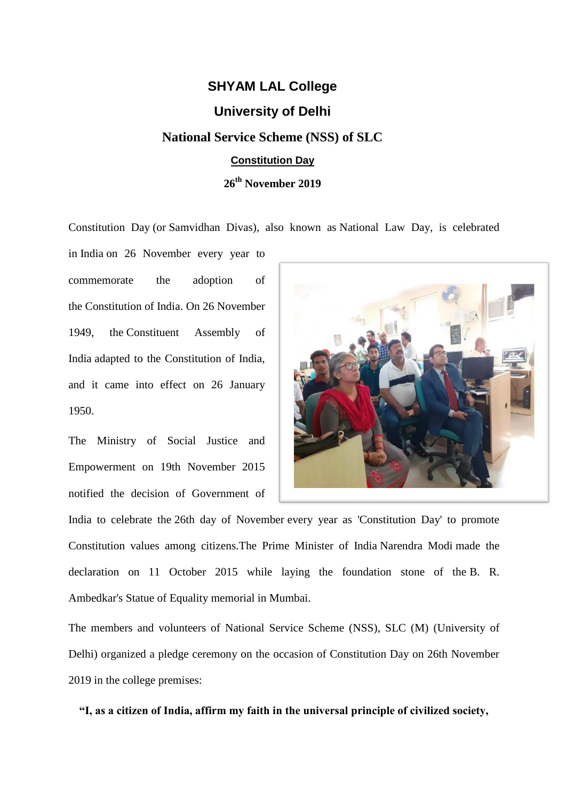## **SHYAM LAL College**

## **University of Delhi**

## **National Service Scheme (NSS) of SLC Constitution Day**

**26th November 2019**

Constitution Day (or Samvidhan Divas), also known as National Law Day, is celebrated

in [India](https://en.wikipedia.org/wiki/India) on 26 November every year to commemorate the adoption of the [Constitution of India.](https://en.wikipedia.org/wiki/Constitution_of_India) On 26 November 1949, the [Constituent Assembly of](https://en.wikipedia.org/wiki/Constituent_Assembly_of_India)  [India](https://en.wikipedia.org/wiki/Constituent_Assembly_of_India) adapted to the Constitution of India, and it came into effect on 26 January 1950.

The Ministry of Social Justice and Empowerment on 19th November 2015 notified the decision of Government of



India to celebrate the 26th day of November every year as 'Constitution Day' to promote Constitution values among citizens.The Prime Minister of India [Narendra Modi](https://en.wikipedia.org/wiki/Narendra_Modi) made the declaration on 11 October 2015 while laying the foundation stone of the [B. R.](https://en.wikipedia.org/wiki/B._R._Ambedkar)  [Ambedkar's](https://en.wikipedia.org/wiki/B._R._Ambedkar) [Statue of Equality](https://en.wikipedia.org/wiki/Statue_of_Equality) memorial in [Mumbai.](https://en.wikipedia.org/wiki/Mumbai)

The members and volunteers of National Service Scheme (NSS), SLC (M) (University of Delhi) organized a pledge ceremony on the occasion of Constitution Day on 26th November 2019 in the college premises:

**"I, as a citizen of India, affirm my faith in the universal principle of civilized society,**